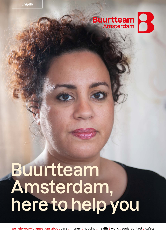### **Buurtteam** R

# **Buurtteam Amsterdam, here to help you**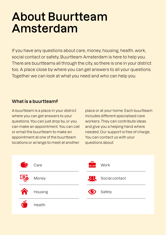## **About Buurtteam Amsterdam**

If you have any questions about care, money, housing, health, work, social contact or safety, Buurtteam Amsterdam is here to help you. There are buurtteams all through the city, so there is one in your district too. A place close by where you can get answers to all your questions. Together we can look at what you need and who can help you.

#### **What is a buurtteam?**

A buurtteam is a place in your district where you can get answers to your questions. You can just drop by, or you can make an appointment. You can call or email the buurtteam to make an appointment at one of the buurtteam locations or arrange to meet at another place or at your home. Each buurtteam includes different specialised care workers. They can contribute ideas and give you a helping hand where needed. Our support is free of charge. You can contact us with your questions about:

| E<br>Care             | Work                |
|-----------------------|---------------------|
| <u>( မ</u> ြ<br>Money | Social contact<br>双 |
| Housing               | Safety              |
| Health                |                     |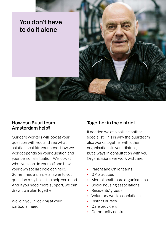

#### **How can Buurtteam Amsterdam help?**

Our care workers will look at your question with you and see what solution best fits your need. How we work depends on your question and your personal situation. We look at what you can do yourself and how your own social circle can help. Sometimes a simple answer to your question may be all the help you need. And if you need more support, we can draw up a plan together.

We join you in looking at your particular need.

#### **Together in the district**

If needed we can call in another specialist. This is why the buurtteam also works together with other organisations in your district, but always in consultation with you. Organizations we work with, are:

- Parent and Child teams
- GP practices
- Mental healthcare organisations
- Social housing associations
- Residents' groups
- Voluntary work associations
- District nurses
- Care providers
- Community centres